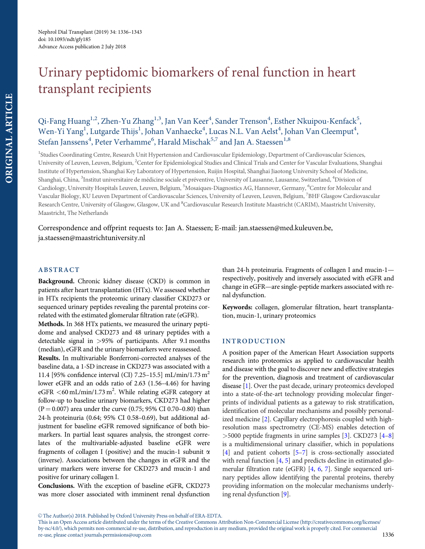# Urinary peptidomic biomarkers of renal function in heart transplant recipients

## Qi-Fang Huang<sup>1,2</sup>, Zhen-Yu Zhang<sup>1,3</sup>, Jan Van Keer<sup>4</sup>, Sander Trenson<sup>4</sup>, Esther Nkuipou-Kenfack<sup>5</sup>, Wen-Yi Yang $^{\rm l}$ , Lutgarde Thijs $^{\rm l}$ , Johan Vanhaecke $^{\rm 4}$ , Lucas N.L. Van Aelst $^{\rm 4}$ , Johan Van Cleemput $^{\rm 4}$ , Stefan Janssens<sup>4</sup>, Peter Verhamme<sup>6</sup>, Harald Mischak<sup>5,7</sup> and Jan A. Staessen<sup>1,8</sup>

<sup>1</sup>Studies Coordinating Centre, Research Unit Hypertension and Cardiovascular Epidemiology, Department of Cardiovascular Sciences, University of Leuven, Leuven, Belgium, <sup>2</sup>Center for Epidemiological Studies and Clinical Trials and Center for Vascular Evaluations, Shanghai Institute of Hypertension, Shanghai Key Laboratory of Hypertension, Ruijin Hospital, Shanghai Jiaotong University School of Medicine, Shanghai, China, <sup>3</sup>Institut universitaire de médicine sociale et préventive, University of Lausanne, Lausanne, Switzerland, <sup>4</sup>Division of Cardiology, University Hospitals Leuven, Leuven, Belgium, <sup>5</sup>Mosaiques-Diagnostics AG, Hannover, Germany, <sup>6</sup>Centre for Molecular and Vascular Biology, KU Leuven Department of Cardiovascular Sciences, University of Leuven, Leuven, Belgium, <sup>7</sup>BHF Glasgow Cardiovascular Research Centre, University of Glasgow, Glasgow, UK and <sup>8</sup>Cardiovascular Research Institute Maastricht (CARIM), Maastricht University, Maastricht, The Netherlands

Correspondence and offprint requests to: Jan A. Staessen; E-mail: jan.staessen@med.kuleuven.be, ja.staessen@maastrichtuniversity.nl

## ABSTRACT

Background. Chronic kidney disease (CKD) is common in patients after heart transplantation (HTx). We assessed whether in HTx recipients the proteomic urinary classifier CKD273 or sequenced urinary peptides revealing the parental proteins correlated with the estimated glomerular filtration rate (eGFR).

Methods. In 368 HTx patients, we measured the urinary peptidome and analysed CKD273 and 48 urinary peptides with a detectable signal in >95% of participants. After 9.1 months (median), eGFR and the urinary biomarkers were reassessed.

Results. In multivariable Bonferroni-corrected analyses of the baseline data, a 1-SD increase in CKD273 was associated with a 11.4 [95% confidence interval (CI) 7.25–15.5] mL/min/1.73 m<sup>2</sup> lower eGFR and an odds ratio of 2.63 (1.56–4.46) for having eGFR <60 mL/min/1.73 m<sup>2</sup>. While relating eGFR category at follow-up to baseline urinary biomarkers, CKD273 had higher  $(P = 0.007)$  area under the curve (0.75; 95% CI 0.70–0.80) than 24-h proteinuria (0.64; 95% CI 0.58–0.69), but additional adjustment for baseline eGFR removed significance of both biomarkers. In partial least squares analysis, the strongest correlates of the multivariable-adjusted baseline eGFR were fragments of collagen I (positive) and the mucin-1 subunit  $\alpha$ (inverse). Associations between the changes in eGFR and the urinary markers were inverse for CKD273 and mucin-1 and positive for urinary collagen I.

Conclusions. With the exception of baseline eGFR, CKD273 was more closer associated with imminent renal dysfunction than 24-h proteinuria. Fragments of collagen I and mucin-1 respectively, positively and inversely associated with eGFR and change in eGFR—are single-peptide markers associated with renal dysfunction.

Keywords: collagen, glomerular filtration, heart transplantation, mucin-1, urinary proteomics

## INTRODUCTION

A position paper of the American Heart Association supports research into proteomics as applied to cardiovascular health and disease with the goal to discover new and effective strategies for the prevention, diagnosis and treatment of cardiovascular disease [1]. Over the past decade, urinary proteomics developed into a state-of-the-art technology providing molecular fingerprints of individual patients as a gateway to risk stratification, identification of molecular mechanisms and possibly personalized medicine [2]. Capillary electrophoresis coupled with highresolution mass spectrometry (CE-MS) enables detection of >5000 peptide fragments in urine samples [3]. CKD273 [4–8] is a multidimensional urinary classifier, which in populations [4] and patient cohorts [5–7] is cross-sectionally associated with renal function [4, 5] and predicts decline in estimated glomerular filtration rate (eGFR) [4, 6, 7]. Single sequenced urinary peptides allow identifying the parental proteins, thereby providing information on the molecular mechanisms underlying renal dysfunction [9].

<sup>©</sup> The Author(s) 2018. Published by Oxford University Press on behalf of ERA-EDTA.

This is an Open Access article distributed under the terms of the Creative Commons Attribution Non-Commercial License (http://creativecommons.org/licenses/ by-nc/4.0/), which permits non-commercial re-use, distribution, and reproduction in any medium, provided the original work is properly cited. For commercial re-use, please contact journals.permissions@oup.com 1336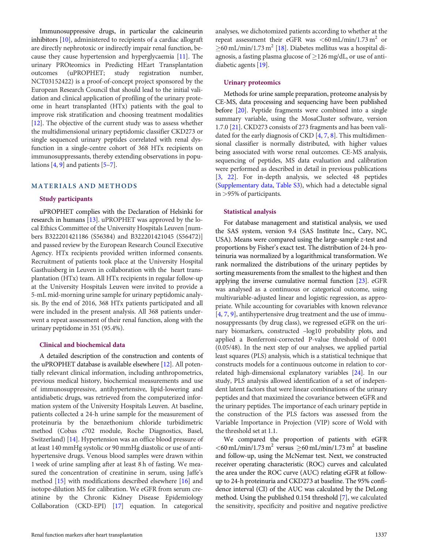Immunosuppressive drugs, in particular the calcineurin inhibitors [10], administered to recipients of a cardiac allograft are directly nephrotoxic or indirectly impair renal function, because they cause hypertension and hyperglycaemia [11]. The urinary PROteomics in Predicting HEart Transplantation outcomes (uPROPHET; study registration number, NCT03152422) is a proof-of-concept project sponsored by the European Research Council that should lead to the initial validation and clinical application of profiling of the urinary proteome in heart transplanted (HTx) patients with the goal to improve risk stratification and choosing treatment modalities [12]. The objective of the current study was to assess whether the multidimensional urinary peptidomic classifier CKD273 or single sequenced urinary peptides correlated with renal dysfunction in a single-centre cohort of 368 HTx recipients on immunosuppressants, thereby extending observations in populations  $[4, 9]$  and patients  $[5-7]$ .

## MATERIALS AND METHODS

#### Study participants

uPROPHET complies with the Declaration of Helsinki for research in humans [13]. uPROPHET was approved by the local Ethics Committee of the University Hospitals Leuven [numbers B322201421186 (S56384) and B322201421045 (S56472)] and passed review by the European Research Council Executive Agency. HTx recipients provided written informed consents. Recruitment of patients took place at the University Hospital Gasthuisberg in Leuven in collaboration with the heart transplantation (HTx) team. All HTx recipients in regular follow-up at the University Hospitals Leuven were invited to provide a 5-mL mid-morning urine sample for urinary peptidomic analysis. By the end of 2016, 368 HTx patients participated and all were included in the present analysis. All 368 patients underwent a repeat assessment of their renal function, along with the urinary peptidome in 351 (95.4%).

## Clinical and biochemical data

A detailed description of the construction and contents of the uPROPHET database is available elsewhere [12]. All potentially relevant clinical information, including anthropometrics, previous medical history, biochemical measurements and use of immunosuppressive, antihypertensive, lipid-lowering and antidiabetic drugs, was retrieved from the computerized information system of the University Hospitals Leuven. At baseline, patients collected a 24-h urine sample for the measurement of proteinuria by the benzethonium chloride turbidimetric method (Cobas c702 module, Roche Diagnostics, Basel, Switzerland) [14]. Hypertension was an office blood pressure of at least 140 mmHg systolic or 90 mmHg diastolic or use of antihypertensive drugs. Venous blood samples were drawn within 1 week of urine sampling after at least 8 h of fasting. We measured the concentration of creatinine in serum, using Jaffe's method [15] with modifications described elsewhere [16] and isotope-dilution MS for calibration. We eGFR from serum creatinine by the Chronic Kidney Disease Epidemiology Collaboration (CKD-EPI) [17] equation. In categorical

#### Urinary proteomics

Methods for urine sample preparation, proteome analysis by CE-MS, data processing and sequencing have been published before [20]. Peptide fragments were combined into a single summary variable, using the MosaCluster software, version 1.7.0 [21]. CKD273 consists of 273 fragments and has been validated for the early diagnosis of CKD [4, 7, 8]. This multidimensional classifier is normally distributed, with higher values being associated with worse renal outcomes. CE-MS analysis, sequencing of peptides, MS data evaluation and calibration were performed as described in detail in previous publications [3, 22]. For in-depth analysis, we selected 48 peptides ([Supplementary data,](https://academic.oup.com/ndt/article-lookup/doi/10.1093/ndt/gfy185#supplementary-data) [Table S3](https://academic.oup.com/ndt/article-lookup/doi/10.1093/ndt/gfy185#supplementary-data)), which had a detectable signal in >95% of participants.

#### Statistical analysis

For database management and statistical analysis, we used the SAS system, version 9.4 (SAS Institute Inc., Cary, NC, USA). Means were compared using the large-sample z-test and proportions by Fisher's exact test. The distribution of 24-h proteinuria was normalized by a logarithmical transformation. We rank normalized the distributions of the urinary peptides by sorting measurements from the smallest to the highest and then applying the inverse cumulative normal function [23]. eGFR was analysed as a continuous or categorical outcome, using multivariable-adjusted linear and logistic regression, as appropriate. While accounting for covariables with known relevance [4, 7, 9], antihypertensive drug treatment and the use of immunosuppressants (by drug class), we regressed eGFR on the urinary biomarkers, constructed –log10 probability plots, and applied a Bonferroni-corrected P-value threshold of 0.001 (0.05/48). In the next step of our analyses, we applied partial least squares (PLS) analysis, which is a statistical technique that constructs models for a continuous outcome in relation to correlated high-dimensional explanatory variables [24]. In our study, PLS analysis allowed identification of a set of independent latent factors that were linear combinations of the urinary peptides and that maximized the covariance between eGFR and the urinary peptides. The importance of each urinary peptide in the construction of the PLS factors was assessed from the Variable Importance in Projection (VIP) score of Wold with the threshold set at 1.1.

We compared the proportion of patients with eGFR  $<$  60 mL/min/1.73 m<sup>2</sup> versus  $\geq$  60 mL/min/1.73 m<sup>2</sup> at baseline and follow-up, using the McNemar test. Next, we constructed receiver operating characteristic (ROC) curves and calculated the area under the ROC curve (AUC) relating eGFR at followup to 24-h proteinuria and CKD273 at baseline. The 95% confidence interval (CI) of the AUC was calculated by the DeLong method. Using the published 0.154 threshold [7], we calculated the sensitivity, specificity and positive and negative predictive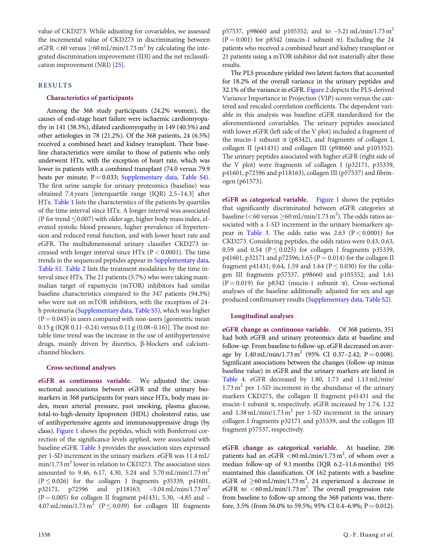value of CKD273. While adjusting for covariables, we assessed the incremental value of CKD273 in discriminating between eGFR <60 versus  $\geq$ 60 mL/min/1.73 m<sup>2</sup> by calculating the integrated discrimination improvement (IDI) and the net reclassification improvement (NRI) [25].

## RESULTS

## Characteristics of participants

Among the 368 study participants (24.2% women), the causes of end-stage heart failure were ischaemic cardiomyopathy in 141 (38.3%), dilated cardiomyopathy in 149 (40.5%) and other aetiologies in 78 (21.2%). Of the 368 patients, 24 (6.5%) received a combined heart and kidney transplant. Their baseline characteristics were similar to those of patients who only underwent HTx, with the exception of heart rate, which was lower in patients with a combined transplant (74.0 versus 79.9 beats per minute;  $P = 0.033$ ; [Supplementary data](https://academic.oup.com/ndt/article-lookup/doi/10.1093/ndt/gfy185#supplementary-data), [Table S4\)](https://academic.oup.com/ndt/article-lookup/doi/10.1093/ndt/gfy185#supplementary-data). The first urine sample for urinary proteomics (baseline) was obtained 7.4 years [interquartile range (IQR) 2.5–14.3] after HTx. Table 1 lists the characteristics of the patients by quartiles of the time interval since HTx. A longer interval was associated (P for trend  $\leq$  0.007) with older age, higher body mass index, elevated systolic blood pressure, higher prevalence of hypertension and reduced renal function, and with lower heart rate and eGFR. The multidimensional urinary classifier CKD273 increased with longer interval since HTx  $(P < 0.0001)$ . The time trends in the sequenced peptides appear in [Supplementary data](https://academic.oup.com/ndt/article-lookup/doi/10.1093/ndt/gfy185#supplementary-data), [Table S1.](https://academic.oup.com/ndt/article-lookup/doi/10.1093/ndt/gfy185#supplementary-data) Table 2 lists the treatment modalities by the time interval since HTx. The 21 patients (5.7%) who were taking mammalian target of rapamycin (mTOR) inhibitors had similar baseline characteristics compared to the 347 patients (94.3%) who were not on mTOR inhibitors, with the exception of 24 h proteinuria ([Supplementary data,](https://academic.oup.com/ndt/article-lookup/doi/10.1093/ndt/gfy185#supplementary-data) [Table S5](https://academic.oup.com/ndt/article-lookup/doi/10.1093/ndt/gfy185#supplementary-data)), which was higher  $(P = 0.045)$  in users compared with non-users [geometric mean 0.15 g (IQR 0.11–0.24) versus 0.11 g (0.08–0.16)]. The most notable time trend was the increase in the use of antihypertensive drugs, mainly driven by diuretics,  $\beta$ -blockers and calciumchannel blockers.

#### Cross-sectional analyses

eGFR as continuous variable. We adjusted the crosssectional associations between eGFR and the urinary biomarkers in 368 participants for years since HTx, body mass index, mean arterial pressure, past smoking, plasma glucose, total-to-high-density lipoprotein (HDL) cholesterol ratio, use of antihypertensive agents and immunosuppressive drugs (by class). Figure 1 shows the peptides, which with Bonferroni correction of the significance levels applied, were associated with baseline eGFR. Table 3 provides the association sizes expressed per 1-SD increment in the urinary markers. eGFR was 11.4 mL/  $min/1.73$  m<sup>2</sup> lower in relation to CKD273. The association sizes amounted to 9.46, 6.17, 4.30, 5.24 and 5.70 mL/min/1.73 m<sup>2</sup>  $(P \le 0.026)$  for the collagen I fragments p35339, p41601, p32171, p72596 and p118163;  $-5.04 \text{ mL/min}/1.73 \text{ m}^2$ (P = 0.005) for collagen II fragment p41431; 5.30, -4.85 and – 4.07 mL/min/1.73 m<sup>2</sup> ( $P \le 0.039$ ) for collagen III fragments p57537, p98660 and p105352; and to  $-5.21$  mL/min/1.73 m<sup>2</sup>  $(P = 0.001)$  for p8342 (mucin-1 subunit  $\alpha$ ). Excluding the 24 patients who received a combined heart and kidney transplant or 21 patients using a mTOR inhibitor did not materially alter these results.

The PLS procedure yielded two latent factors that accounted for 18.2% of the overall variance in the urinary peptides and 32.1% of the variance in eGFR. Figure 2 depicts the PLS-derived Variance Importance in Projection (VIP) scores versus the cantered and rescaled correlation coefficients. The dependent variable in this analysis was baseline eGFR standardized for the aforementioned covariables. The urinary peptides associated with lower eGFR (left side of the V plot) included a fragment of the mucin-1 subunit  $\alpha$  (p8342), and fragments of collagen I, collagen II (p41431) and collagen III (p98660 and p105352). The urinary peptides associated with higher eGFR (right side of the V plot) were fragments of collagen I (p32171, p35339, p41601, p72596 and p118163), collagen III (p57537) and fibrinogen (p61573).

eGFR as categorical variable. Figure 1 shows the peptides that significantly discriminated between eGFR categories at baseline (<60 versus  $\geq$ 60 mL/min/1.73 m<sup>2</sup>). The odds ratios associated with a 1-SD increment in the urinary biomarkers appear in Table 3. The odds ratio was  $2.63$  (P < 0.0001) for CKD273. Considering peptides, the odds ratios were 0.43, 0.63, 0.59 and 0.54 ( $P \le 0.025$ ) for collagen I fragments p35339, p41601, p32171 and p72596; 1.65 ( $P = 0.014$ ) for the collagen II fragment p41431; 0.64, 1.59 and 1.64 ( $P \le 0.030$ ) for the collagen III fragments p57537, p98660 and p105352; and 1.61 (P = 0.019) for p8342 (mucin-1 subunit  $\alpha$ ). Cross-sectional analyses of the baseline additionally adjusted for sex and age produced confirmatory results [\(Supplementary data](https://academic.oup.com/ndt/article-lookup/doi/10.1093/ndt/gfy185#supplementary-data), [Table S2\)](https://academic.oup.com/ndt/article-lookup/doi/10.1093/ndt/gfy185#supplementary-data).

## Longitudinal analyses

eGFR change as continuous variable. Of 368 patients, 351 had both eGFR and urinary proteomics data at baseline and follow-up. From baseline to follow-up, eGFR decreased on average by  $1.40 \text{ mL/min}/1.73 \text{ m}^2$  (95% CI 0.37–2.42; P = 0.008). Significant associations between the changes (follow-up minus baseline value) in eGFR and the urinary markers are listed in Table 4. eGFR decreased by 1.80, 1.73 and 1.13 mL/min/  $1.73 \text{ m}^2$  per 1-SD increment in the abundance of the urinary markers CKD273, the collagen II fragment p41431 and the mucin-1 subunit  $\alpha$ , respectively. eGFR increased by 1.74, 1.22 and  $1.38$  mL/min/1.73 m<sup>2</sup> per 1-SD increment in the urinary collagen I fragments p32171 and p35339, and the collagen III fragment p57537, respectively.

eGFR change as categorical variable. At baseline, 206 patients had an eGFR  $\leq 60$  mL/min/1.73 m<sup>2</sup>, of whom over a median follow-up of 9.1 months (IQR 6.2–11.6 months) 195 maintained this classification. Of 162 patients with a baseline eGFR of  $\geq$ 60 mL/min/1.73 m<sup>2</sup>, 24 experienced a decrease in eGFR to  $\leq 60 \text{ mL/min}/1.73 \text{ m}^2$ . The overall progression rate from baseline to follow-up among the 368 patients was, therefore, 3.5% (from 56.0% to 59.5%; 95% CI 0.4–6.9%; P = 0.012).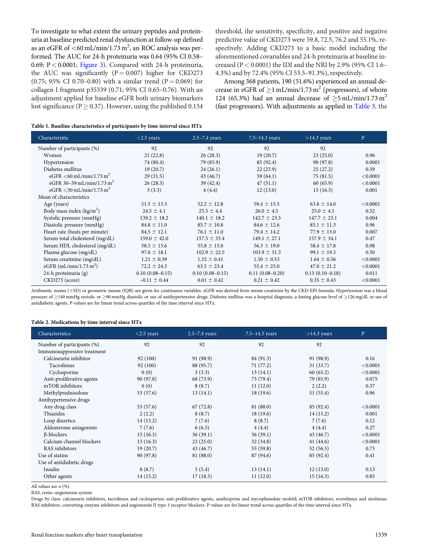To investigate to what extent the urinary peptides and proteinuria at baseline predicted renal dysfunction at follow-up defined as an eGFR of  $<$  60 mL/min/1.73 m<sup>2</sup>, an ROC analysis was performed. The AUC for 24-h proteinuria was 0.64 (95% CI 0.58– 0.69;  $P < 0.0001$ ; Figure 3). Compared with 24-h proteinuria, the AUC was significantly ( $P = 0.007$ ) higher for CKD273 (0.75; 95% CI 0.70–0.80) with a similar trend (P = 0.069) for collagen I fragment p35339 (0.71; 95% CI 0.65–0.76). With an adjustment applied for baseline eGFR both urinary biomarkers lost significance (P  $\geq$  0.37). However, using the published 0.154

threshold, the sensitivity, specificity, and positive and negative predictive value of CKD273 were 59.8, 72.5, 76.2 and 55.1%, respectively. Adding CKD273 to a basic model including the aforementioned covariables and 24-h proteinuria at baseline increased (P < 0.0001) the IDI and the NRI by 2.9% (95% CI 1.6– 4.3%) and by 72.4% (95% CI 53.5–91.3%), respectively.

Among 368 patients, 190 (51.6%) experienced an annual decrease in eGFR of  $\geq$ 1 mL/min/1.73 m<sup>2</sup> (progressors), of whom 124 (65.3%) had an annual decrease of  $\geq$ 5 mL/min/1.73 m<sup>2</sup> (fast progressors). With adjustments as applied in Table 3, the

| Characteristic                         | $<$ 2.5 years     | $2.5 - 7.4$ years | $7.5 - 14.3$ years | $>14.3$ years     | $\mathbf{P}$ |
|----------------------------------------|-------------------|-------------------|--------------------|-------------------|--------------|
| Number of participants (%)             | 92                | 92                | 92                 | 92                |              |
| Women                                  | 21(22.8)          | 26(28.3)          | 19(20.7)           | 23(25.0)          | 0.96         |
| Hypertension                           | 74 (80.4)         | 79 (85.9)         | 85 (92.4)          | 90 (97.8)         | 0.0001       |
| Diabetes mellitus                      | 19(20.7)          | 24(26.1)          | 22(23.9)           | 25(27.2)          | 0.39         |
| eGFR <60 mL/min/1.73 m <sup>2</sup>    | 29(31.5)          | 43 (46.7)         | 59 $(64.1)$        | 75(81.5)          | < 0.0001     |
| eGFR 30-59 mL/min/1.73 m <sup>2</sup>  | 26(28.3)          | 39(42.4)          | 47(51.1)           | 60(65.9)          | < 0.0001     |
| eGFR $<$ 30 mL/min/1.73 m <sup>2</sup> | 3(3.3)            | 4(4.4)            | 12(13.0)           | 15(16.3)          | 0.001        |
| Mean of characteristics                |                   |                   |                    |                   |              |
| Age (years)                            | $51.5 \pm 13.3$   | $52.2 \pm 12.8$   | $59.4 \pm 15.5$    | $63.8 \pm 14.0$   | < 0.0001     |
| Body mass index $(kg/m2)$              | $24.5 \pm 4.1$    | $25.5 \pm 4.4$    | $26.0 \pm 4.5$     | $25.0 \pm 4.1$    | 0.32         |
| Systolic pressure (mmHg)               | $139.2 \pm 18.2$  | $140.1 \pm 18.2$  | $142.7 \pm 23.5$   | $147.7 \pm 23.1$  | 0.004        |
| Diastolic pressure (mmHg)              | $84.8 \pm 11.0$   | $85.7 \pm 10.8$   | $84.6 \pm 12.6$    | $85.1 \pm 11.3$   | 0.96         |
| Heart rate (beats per minute)          | $84.5 \pm 12.1$   | $76.1 \pm 11.0$   | $79.4 \pm 14.2$    | $77.9 \pm 13.0$   | 0.007        |
| Serum total cholesterol (mg/dL)        | $159.0 \pm 42.0$  | $157.5 \pm 33.4$  | $149.1 \pm 27.1$   | $157.9 \pm 34.1$  | 0.47         |
| Serum HDL cholesterol (mg/dL)          | $58.5 \pm 15.6$   | $55.8 \pm 15.0$   | $56.3 \pm 19.0$    | $58.4 \pm 17.8$   | 0.98         |
| Plasma glucose (mg/dL)                 | $97.0 \pm 18.1$   | $102.9 \pm 22.5$  | $103.9 \pm 31.3$   | $99.1 \pm 19.3$   | 0.50         |
| Serum creatinine (mg/dL)               | $1.21 \pm 0.39$   | $1.32 \pm 0.41$   | $1.50 \pm 0.53$    | $1.64 \pm 0.56$   | < 0.0001     |
| eGFR $(mL/min/1.73 m2)$                | $72.2 \pm 24.3$   | $63.5 \pm 23.4$   | $55.4 \pm 25.0$    | $47.0 \pm 21.2$   | < 0.0001     |
| 24-h proteinuria (g)                   | $0.10(0.08-0.15)$ | $0.10(0.08-0.15)$ | $0.11(0.08-0.20)$  | $0.13(0.10-0.18)$ | 0.011        |
| CKD273 (score)                         | $-0.11 \pm 0.44$  | $0.01 \pm 0.42$   | $0.21 \pm 0.42$    | $0.35 \pm 0.43$   | < 0.0001     |

Arithmetic means (±SD) or geometric means (IQR) are given for continuous variables. eGFR was derived from serum creatinine by the CKD-EPI formula. Hypertension was a blood pressure of ≥140 mmHg systolic or ≥90 mmHg diastolic or use of antihypertensive drugs. Diabetes mellitus was a hospital diagnosis, a fasting glucose level of ≥126 mg/dL or use of antidiabetic agents. P-values are for linear trend across quartiles of the time interval since HTx.

#### Table 2. Medications by time interval since HTx

| Characteristics             | $<$ 2.5 years | $2.5 - 7.4$ years | $7.5 - 14.3$ years | $>14.3$ years | $\mathbf{P}$ |
|-----------------------------|---------------|-------------------|--------------------|---------------|--------------|
| Number of participants (%)  | 92            | 92                | 92                 | 92            |              |
| Immunosuppressive treatment |               |                   |                    |               |              |
| Calcineurin inhibitor       | 92 (100)      | 91 (98.9)         | 84 (91.3)          | 91 (98.9)     | 0.16         |
| Tacrolimus                  | 92 (100)      | 88 (95.7)         | 71 (77.2)          | 31(33.7)      | < 0.0001     |
| Cyclosporine                | 0(0)          | 3(3.3)            | 13(14.1)           | 60(65.2)      | < 0.0001     |
| Anti-proliferative agents   | 90 (97.8)     | 68 (73.9)         | 73 (79.4)          | 79 (85.9)     | 0.075        |
| mTOR inhibitors             | 0(0)          | 8(8.7)            | 11(12.0)           | 2(2.2)        | 0.37         |
| Methylprednisolone          | 53 (57.6)     | 13(14.1)          | 18(19.6)           | 51(55.4)      | 0.96         |
| Antihypertensive drugs      |               |                   |                    |               |              |
| Any drug class              | 53 (57.6)     | 67(72.8)          | 81 (88.0)          | 85 (92.4)     | < 0.0001     |
| Thiazides                   | 2(2.2)        | 8(8.7)            | 18(19.6)           | 14(15.2)      | 0.001        |
| Loop diuretics              | 14(15.2)      | 7(7.6)            | 8(8.7)             | 7(7.6)        | 0.12         |
| Aldosterone antagonists     | 7(7.6)        | 6(6.5)            | 4(4.4)             | 4(4.4)        | 0.27         |
| <b>B-blockers</b>           | 15(16.3)      | 36(39.1)          | 36(39.1)           | 43 (46.7)     | < 0.0001     |
| Calcium channel blockers    | 15(16.3)      | 23(25.0)          | 32(34.8)           | 41(44.6)      | < 0.0001     |
| RAS inhibitors              | 19(20.7)      | 43 (46.7)         | 55 (59.8)          | 52(56.5)      | 0.73         |
| Use of statins              | 90 (97.8)     | 81 (88.0)         | 87 (94.6)          | 85 (92.4)     | 0.41         |
| Use of antidiabetic drugs   |               |                   |                    |               |              |
| Insulin                     | 8(8.7)        | 5(5.4)            | 13(14.1)           | 12(13.0)      | 0.13         |
| Other agents                | 14(15.2)      | 17(18.5)          | 11(12.0)           | 15(16.3)      | 0.85         |

All values are  $n$  (%).

RAS, renin–angiotensin system.

Drugs by class: calcineurin inhibitors, tacrolimus and cyclosporine; anti-proliferative agents, azathioprine and mycophenolate mofetil; mTOR inhibitors, everolimus and sirolimus; RAS inhibitors, converting-enzyme inhibitors and angiotensin II type-1 receptor blockers. P-values are for linear trend across quartiles of the time interval since HTx.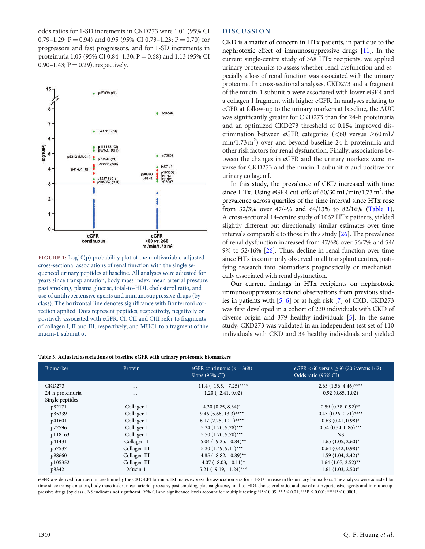odds ratios for 1-SD increments in CKD273 were 1.01 (95% CI 0.79–1.29; P = 0.94) and 0.95 (95% CI 0.73–1.23; P = 0.70) for progressors and fast progressors, and for 1-SD increments in proteinuria 1.05 (95% CI 0.84–1.30;  $P = 0.68$ ) and 1.13 (95% CI 0.90–1.43;  $P = 0.29$ ), respectively.



FIGURE 1: Log10(p) probability plot of the multivariable-adjusted cross-sectional associations of renal function with the single sequenced urinary peptides at baseline. All analyses were adjusted for years since transplantation, body mass index, mean arterial pressure, past smoking, plasma glucose, total-to-HDL cholesterol ratio, and use of antihypertensive agents and immunosuppressive drugs (by class). The horizontal line denotes significance with Bonferroni correction applied. Dots represent peptides, respectively, negatively or positively associated with eGFR. CI, CII and CIII refer to fragments of collagen I, II and III, respectively, and MUC1 to a fragment of the mucin-1 subunit a.

## DISCUSSION

CKD is a matter of concern in HTx patients, in part due to the nephrotoxic effect of immunosuppressive drugs [11]. In the current single-centre study of 368 HTx recipients, we applied urinary proteomics to assess whether renal dysfunction and especially a loss of renal function was associated with the urinary proteome. In cross-sectional analyses, CKD273 and a fragment of the mucin-1 subunit  $\alpha$  were associated with lower eGFR and a collagen I fragment with higher eGFR. In analyses relating to eGFR at follow-up to the urinary markers at baseline, the AUC was significantly greater for CKD273 than for 24-h proteinuria and an optimized CKD273 threshold of 0.154 improved discrimination between eGFR categories ( $<$  60 versus  $\geq$  60 mL/ min/1.73 m<sup>2</sup>) over and beyond baseline 24-h proteinuria and other risk factors for renal dysfunction. Finally, associations between the changes in eGFR and the urinary markers were inverse for CKD273 and the mucin-1 subunit  $\alpha$  and positive for urinary collagen I.

In this study, the prevalence of CKD increased with time since HTx. Using eGFR cut-offs of 60/30 mL/min/1.73 m<sup>2</sup>, the prevalence across quartiles of the time interval since HTx rose from 32/3% over 47/4% and 64/13% to 82/16% (Table 1). A cross-sectional 14-centre study of 1062 HTx patients, yielded slightly different but directionally similar estimates over time intervals comparable to those in this study [26]. The prevalence of renal dysfunction increased from 47/6% over 56/7% and 54/ 9% to 52/16% [26]. Thus, decline in renal function over time since HTx is commonly observed in all transplant centres, justifying research into biomarkers prognostically or mechanistically associated with renal dysfunction.

Our current findings in HTx recipients on nephrotoxic immunosuppressants extend observations from previous studies in patients with [5, 6] or at high risk [7] of CKD. CKD273 was first developed in a cohort of 230 individuals with CKD of diverse origin and 379 healthy individuals [5]. In the same study, CKD273 was validated in an independent test set of 110 individuals with CKD and 34 healthy individuals and yielded

#### Table 3. Adjusted associations of baseline eGFR with urinary proteomic biomarkers

| Biomarker        | Protein      | eGFR continuous ( $n = 368$ )<br>Slope (95% CI) | eGFR $<$ 60 versus $>$ 60 (206 versus 162)<br>Odds ratio (95% CI) |
|------------------|--------------|-------------------------------------------------|-------------------------------------------------------------------|
| CKD273           | $\cdots$     | $-11.4$ ( $-15.5$ , $-7.25$ )****               | $2.63$ (1.56, 4.46)****                                           |
| 24-h proteinuria | $\cdots$     | $-1.20$ ( $-2.41$ , 0.02)                       | 0.92(0.85, 1.02)                                                  |
| Single peptides  |              |                                                 |                                                                   |
| p32171           | Collagen I   | 4.30 $(0.25, 8.34)^*$                           | $0.59(0.38, 0.92)$ **                                             |
| p35339           | Collagen I   | $9.46(5.66, 13.3)$ ****                         | $0.43$ $(0.26, 0.71)$ ****                                        |
| p41601           | Collagen I   | $6.17$ (2.25, 10.1)****                         | $0.63(0.41, 0.98)^{*}$                                            |
| p72596           | Collagen I   | $5.24$ (1.20, 9.28)***                          | $0.54(0.34, 0.86)$ ***                                            |
| p118163          | Collagen I   | $5.70(1.70, 9.70)$ ***                          | NS.                                                               |
| p41431           | Collagen II  | $-5.04$ ( $-9.25$ , $-0.84$ )**                 | $1.65$ $(1.05, 2.60)^*$                                           |
| p57537           | Collagen III | $5.30(1.49, 9.11)$ ***                          | $0.64(0.42, 0.98)^{*}$                                            |
| p98660           | Collagen III | $-4.85$ ( $-8.82, -0.89$ )**                    | $1.59(1.04, 2.42)^{*}$                                            |
| p105352          | Collagen III | $-4.07$ ( $-8.03$ , $-0.11$ <sup>*</sup>        | $1.64$ $(1.07, 2.52)$ **                                          |
| p8342            | Mucin-1      | $-5.21$ ( $-9.19$ , $-1.24$ )***                | $1.61$ $(1.03, 2.50)^*$                                           |

eGFR was derived from serum creatinine by the CKD-EPI formula. Estimates express the association size for a 1-SD increase in the urinary biomarkers. The analyses were adjusted for time since transplantation, body mass index, mean arterial pressure, past smoking, plasma glucose, total-to-HDL cholesterol ratio, and use of antihypertensive agents and immunosuppressive drugs (by class). NS indicates not significant. 95% CI and significance levels account for multiple testing: \*P  $\leq$  0.05; \*\*P  $\leq$  0.01; \*\*\*P  $\leq$  0.001; \*\*\*P  $\leq$  0.0001.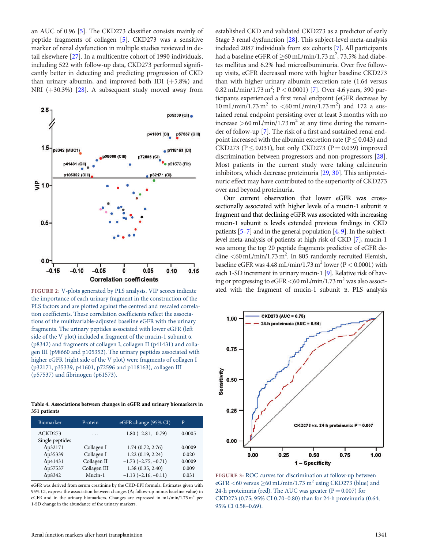an AUC of 0.96 [5]. The CKD273 classifier consists mainly of peptide fragments of collagen [5]. CKD273 was a sensitive marker of renal dysfunction in multiple studies reviewed in detail elsewhere [27]. In a multicentre cohort of 1990 individuals, including 522 with follow-up data, CKD273 performed significantly better in detecting and predicting progression of CKD than urinary albumin, and improved both IDI  $(+5.8\%)$  and NRI  $(+30.3%)$  [28]. A subsequent study moved away from



the importance of each urinary fragment in the construction of the PLS factors and are plotted against the centred and rescaled correlation coefficients. These correlation coefficients reflect the associations of the multivariable-adjusted baseline eGFR with the urinary fragments. The urinary peptides associated with lower eGFR (left side of the V plot) included a fragment of the mucin-1 subunit  $\alpha$ (p8342) and fragments of collagen I, collagen II (p41431) and collagen III (p98660 and p105352). The urinary peptides associated with higher eGFR (right side of the V plot) were fragments of collagen I (p32171, p35339, p41601, p72596 and p118163), collagen III (p57537) and fibrinogen (p61573).

Table 4. Associations between changes in eGFR and urinary biomarkers in 351 patients

| Biomarker          | Protein      | eGFR change (95% CI)          | P      |
|--------------------|--------------|-------------------------------|--------|
| $\triangle$ CKD273 | .            | $-1.80$ ( $-2.81$ , $-0.79$ ) | 0.0005 |
| Single peptides    |              |                               |        |
| $\Delta p32171$    | Collagen I   | 1.74(0.72, 2.76)              | 0.0009 |
| $\Delta p35339$    | Collagen I   | 1.22(0.19, 2.24)              | 0.020  |
| $\Delta p41431$    | Collagen II  | $-1.73$ $(-2.75, -0.71)$      | 0.0009 |
| Δp57537            | Collagen III | 1.38(0.35, 2.40)              | 0.009  |
| $\Delta p8342$     | Mucin-1      | $-1.13$ $(-2.16, -0.11)$      | 0.031  |

eGFR was derived from serum creatinine by the CKD-EPI formula. Estimates given with 95% CI, express the association between changes ( $\Delta$ ; follow-up minus baseline value) in eGFR and in the urinary biomarkers. Changes are expressed in  $mL/min/1.73 m<sup>2</sup>$  per 1-SD change in the abundance of the urinary markers.

established CKD and validated CKD273 as a predictor of early Stage 3 renal dysfunction [28]. This subject-level meta-analysis included 2087 individuals from six cohorts [7]. All participants had a baseline eGFR of  $\geq$ 60 mL/min/1.73 m<sup>2</sup>, 73.5% had diabetes mellitus and 6.2% had microalbuminuria. Over five followup visits, eGFR decreased more with higher baseline CKD273 than with higher urinary albumin excretion rate (1.64 versus  $0.82 \,\text{mL/min}/1.73 \,\text{m}^2$ ; P < 0.0001) [7]. Over 4.6 years, 390 participants experienced a first renal endpoint (eGFR decrease by  $10 \text{ mL/min}/1.73 \text{ m}^2$  to  $\lt 60 \text{ mL/min}/1.73 \text{ m}^2$ ) and 172 a sustained renal endpoint persisting over at least 3 months with no increase  $>60$  mL/min/1.73 m<sup>2</sup> at any time during the remainder of follow-up [7]. The risk of a first and sustained renal endpoint increased with the albumin excretion rate ( $P \le 0.043$ ) and CKD273 ( $P \le 0.031$ ), but only CKD273 ( $P = 0.039$ ) improved discrimination between progressors and non-progressors [28]. Most patients in the current study were taking calcineurin inhibitors, which decrease proteinuria [29, 30]. This antiproteinuric effect may have contributed to the superiority of CKD273 over and beyond proteinuria.

Our current observation that lower eGFR was crosssectionally associated with higher levels of a mucin-1 subunit  $\alpha$ fragment and that declining eGFR was associated with increasing mucin-1 subunit  $\alpha$  levels extended previous findings in CKD patients [5–7] and in the general population [4, 9]. In the subjectlevel meta-analysis of patients at high risk of CKD [7], mucin-1 was among the top 20 peptide fragments predictive of eGFR decline  $\lt$  60 mL/min/1.73 m<sup>2</sup>. In 805 randomly recruited Flemish, baseline eGFR was  $4.48 \text{ mL/min}/1.73 \text{ m}^2$  lower (P < 0.0001) with each 1-SD increment in urinary mucin-1 [9]. Relative risk of having or progressing to eGFR  $<$  60 mL/min/1.73 m<sup>2</sup> was also associ--FIGURE 2: V-plots generated by PLS analysis. VIP scores indicate ated with the fragment of mucin-1 subunit a. PLS analysis



FIGURE 3: ROC curves for discrimination at follow-up between eGFR <60 versus  $\geq$ 60 mL/min/1.73 m<sup>2</sup> using CKD273 (blue) and 24-h proteinuria (red). The AUC was greater ( $P = 0.007$ ) for CKD273 (0.75; 95% CI 0.70–0.80) than for 24-h proteinuria (0.64; 95% CI 0.58–0.69).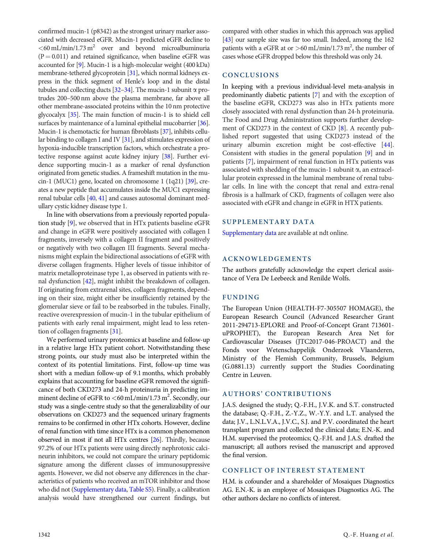confirmed mucin-1 (p8342) as the strongest urinary marker associated with decreased eGFR. Mucin-1 predicted eGFR decline to  $<$  60 mL/min/1.73 m<sup>2</sup> over and beyond microalbuminuria  $(P = 0.011)$  and retained significance, when baseline eGFR was accounted for [9]. Mucin-1 is a high-molecular weight (400 kDa) membrane-tethered glycoprotein [31], which normal kidneys express in the thick segment of Henle's loop and in the distal tubules and collecting ducts [32–34]. The mucin-1 subunit  $\alpha$  protrudes 200–500 nm above the plasma membrane, far above all other membrane-associated proteins within the 10 nm protective glycocalyx [35]. The main function of mucin-1 is to shield cell surfaces by maintenance of a luminal epithelial mucobarrier [36]. Mucin-1 is chemotactic for human fibroblasts [37], inhibits cellular binding to collagen I and IV [31], and stimulates expression of hypoxia-inducible transcription factors, which orchestrate a protective response against acute kidney injury [38]. Further evidence supporting mucin-1 as a marker of renal dysfunction originated from genetic studies. A frameshift mutation in the mucin-1 (MUC1) gene, located on chromosome 1 (1q21) [39], creates a new peptide that accumulates inside the MUC1 expressing renal tubular cells [40, 41] and causes autosomal dominant medullary cystic kidney disease type 1.

In line with observations from a previously reported population study [9], we observed that in HTx patients baseline eGFR and change in eGFR were positively associated with collagen I fragments, inversely with a collagen II fragment and positively or negatively with two collagen III fragments. Several mechanisms might explain the bidirectional associations of eGFR with diverse collagen fragments. Higher levels of tissue inhibitor of matrix metalloproteinase type 1, as observed in patients with renal dysfunction [42], might inhibit the breakdown of collagen. If originating from extrarenal sites, collagen fragments, depending on their size, might either be insufficiently retained by the glomerular sieve or fail to be reabsorbed in the tubules. Finally, reactive overexpression of mucin-1 in the tubular epithelium of patients with early renal impairment, might lead to less retention of collagen fragments [31].

We performed urinary proteomics at baseline and follow-up in a relative large HTx patient cohort. Notwithstanding these strong points, our study must also be interpreted within the context of its potential limitations. First, follow-up time was short with a median follow-up of 9.1 months, which probably explains that accounting for baseline eGFR removed the significance of both CKD273 and 24-h proteinuria in predicting imminent decline of eGFR to  $\lt$  60 mL/min/1.73 m<sup>2</sup>. Secondly, our study was a single-centre study so that the generalizability of our observations on CKD273 and the sequenced urinary fragments remains to be confirmed in other HTx cohorts. However, decline of renal function with time since HTx is a common phenomenon observed in most if not all HTx centres [26]. Thirdly, because 97.2% of our HTx patients were using directly nephrotoxic calcineurin inhibitors, we could not compare the urinary peptidomic signature among the different classes of immunosuppressive agents. However, we did not observe any differences in the characteristics of patients who received an mTOR inhibitor and those who did not [\(Supplementary data](https://academic.oup.com/ndt/article-lookup/doi/10.1093/ndt/gfy185#supplementary-data), [Table S5](https://academic.oup.com/ndt/article-lookup/doi/10.1093/ndt/gfy185#supplementary-data)). Finally, a calibration analysis would have strengthened our current findings, but compared with other studies in which this approach was applied [43] our sample size was far too small. Indeed, among the 162 patients with a eGFR at or  $>$  60 mL/min/1.73 m<sup>2</sup>, the number of cases whose eGFR dropped below this threshold was only 24.

#### **CONCLUSIONS**

In keeping with a previous individual-level meta-analysis in predominantly diabetic patients [7] and with the exception of the baseline eGFR, CKD273 was also in HTx patients more closely associated with renal dysfunction than 24-h proteinuria. The Food and Drug Administration supports further development of CKD273 in the context of CKD [8]. A recently published report suggested that using CKD273 instead of the urinary albumin excretion might be cost-effective [44]. Consistent with studies in the general population [9] and in patients [7], impairment of renal function in HTx patients was associated with shedding of the mucin-1 subunit  $\alpha$ , an extracellular protein expressed in the luminal membrane of renal tubular cells. In line with the concept that renal and extra-renal fibrosis is a hallmark of CKD, fragments of collagen were also associated with eGFR and change in eGFR in HTX patients.

#### SUPPLEMENTARY DATA

[Supplementary data](https://academic.oup.com/ndt/article-lookup/doi/10.1093/ndt/gfy185#supplementary-data) are available at ndt online.

#### ACKNOWLEDGEMENTS

The authors gratefully acknowledge the expert clerical assistance of Vera De Leebeeck and Renilde Wolfs.

#### FUNDING

The European Union (HEALTH-F7-305507 HOMAGE), the European Research Council (Advanced Researcher Grant 2011-294713-EPLORE and Proof-of-Concept Grant 713601 uPROPHET), the European Research Area Net for Cardiovascular Diseases (JTC2017-046-PROACT) and the Fonds voor Wetenschappelijk Onderzoek Vlaanderen, Ministry of the Flemish Community, Brussels, Belgium (G.0881.13) currently support the Studies Coordinating Centre in Leuven.

## AUTHORS' CONTRIBUTIONS

J.A.S. designed the study; Q.-F.H., J.V.K. and S.T. constructed the database; Q.-F.H., Z.-Y.Z., W.-Y.Y. and L.T. analysed the data; J.V., L.N.L.V.A., J.V.C., S.J. and P.V. coordinated the heart transplant program and collected the clinical data; E.N.-K. and H.M. supervised the proteomics; Q.-F.H. and J.A.S. drafted the manuscript; all authors revised the manuscript and approved the final version.

#### CONFLICT OF INTEREST STATEMENT

H.M. is cofounder and a shareholder of Mosaiques Diagnostics AG. E.N.-K. is an employee of Mosaiques Diagnostics AG. The other authors declare no conflicts of interest.